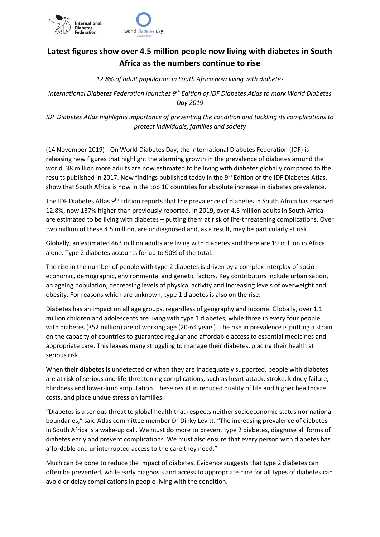

## **Latest figures show over 4.5 million people now living with diabetes in South Africa as the numbers continue to rise**

*12.8% of adult population in South Africa now living with diabetes*

*International Diabetes Federation launches 9th Edition of IDF Diabetes Atlas to mark World Diabetes Day 2019*

*IDF Diabetes Atlas highlights importance of preventing the condition and tackling its complications to protect individuals, families and society*

(14 November 2019) - On World Diabetes Day, the International Diabetes Federation (IDF) is releasing new figures that highlight the alarming growth in the prevalence of diabetes around the world. 38 million more adults are now estimated to be living with diabetes globally compared to the results published in 2017. New findings published today in the 9<sup>th</sup> Edition of the IDF Diabetes Atlas, show that South Africa is now in the top 10 countries for absolute increase in diabetes prevalence.

The IDF Diabetes Atlas 9<sup>th</sup> Edition reports that the prevalence of diabetes in South Africa has reached 12.8%, now 137% higher than previously reported. In 2019, over 4.5 million adults in South Africa are estimated to be living with diabetes – putting them at risk of life-threatening complications. Over two million of these 4.5 million, are undiagnosed and, as a result, may be particularly at risk.

Globally, an estimated 463 million adults are living with diabetes and there are 19 million in Africa alone. Type 2 diabetes accounts for up to 90% of the total.

The rise in the number of people with type 2 diabetes is driven by a complex interplay of socioeconomic, demographic, environmental and genetic factors. Key contributors include urbanisation, an ageing population, decreasing levels of physical activity and increasing levels of overweight and obesity. For reasons which are unknown, type 1 diabetes is also on the rise.

Diabetes has an impact on all age groups, regardless of geography and income. Globally, over 1.1 million children and adolescents are living with type 1 diabetes, while three in every four people with diabetes (352 million) are of working age (20-64 years). The rise in prevalence is putting a strain on the capacity of countries to guarantee regular and affordable access to essential medicines and appropriate care. This leaves many struggling to manage their diabetes, placing their health at serious risk.

When their diabetes is undetected or when they are inadequately supported, people with diabetes are at risk of serious and life-threatening complications, such as heart attack, stroke, kidney failure, blindness and lower-limb amputation. These result in reduced quality of life and higher healthcare costs, and place undue stress on families.

"Diabetes is a serious threat to global health that respects neither socioeconomic status nor national boundaries," said Atlas committee member Dr Dinky Levitt. "The increasing prevalence of diabetes in South Africa is a wake-up call. We must do more to prevent type 2 diabetes, diagnose all forms of diabetes early and prevent complications. We must also ensure that every person with diabetes has affordable and uninterrupted access to the care they need."

Much can be done to reduce the impact of diabetes. Evidence suggests that type 2 diabetes can often be prevented, while early diagnosis and access to appropriate care for all types of diabetes can avoid or delay complications in people living with the condition.